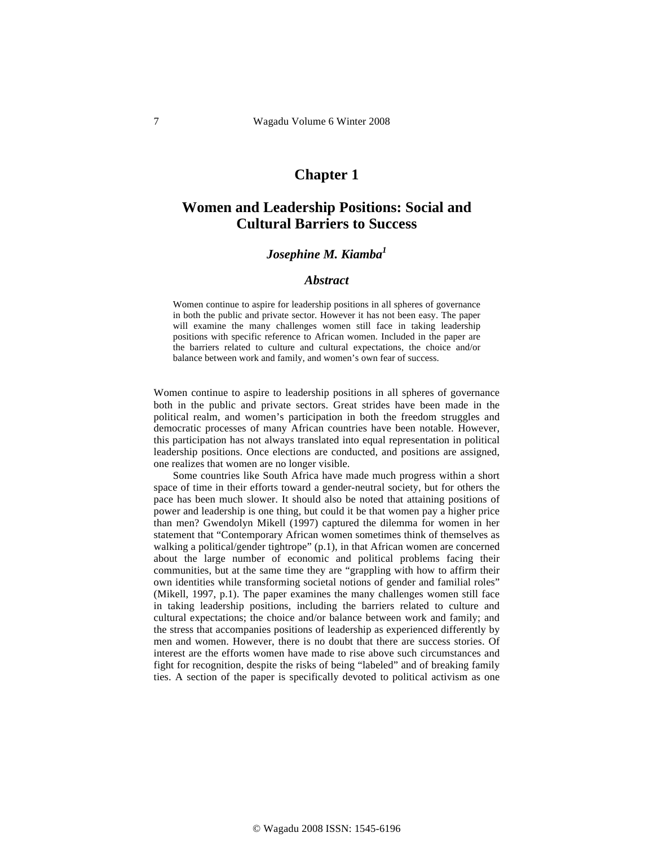# **Chapter 1**

# **Women and Leadership Positions: Social and Cultural Barriers to Success**

## *Josephine M. Kiamba*<sup>1</sup>

#### *Abstract*

Women continue to aspire for leadership positions in all spheres of governance in both the public and private sector. However it has not been easy. The paper will examine the many challenges women still face in taking leadership positions with specific reference to African women. Included in the paper are the barriers related to culture and cultural expectations, the choice and/or balance between work and family, and women's own fear of success.

Women continue to aspire to leadership positions in all spheres of governance both in the public and private sectors. Great strides have been made in the political realm, and women's participation in both the freedom struggles and democratic processes of many African countries have been notable. However, this participation has not always translated into equal representation in political leadership positions. Once elections are conducted, and positions are assigned, one realizes that women are no longer visible.

Some countries like South Africa have made much progress within a short space of time in their efforts toward a gender-neutral society, but for others the pace has been much slower. It should also be noted that attaining positions of power and leadership is one thing, but could it be that women pay a higher price than men? Gwendolyn Mikell (1997) captured the dilemma for women in her statement that "Contemporary African women sometimes think of themselves as walking a political/gender tightrope" (p.1), in that African women are concerned about the large number of economic and political problems facing their communities, but at the same time they are "grappling with how to affirm their own identities while transforming societal notions of gender and familial roles" (Mikell, 1997, p.1). The paper examines the many challenges women still face in taking leadership positions, including the barriers related to culture and cultural expectations; the choice and/or balance between work and family; and the stress that accompanies positions of leadership as experienced differently by men and women. However, there is no doubt that there are success stories. Of interest are the efforts women have made to rise above such circumstances and fight for recognition, despite the risks of being "labeled" and of breaking family ties. A section of the paper is specifically devoted to political activism as one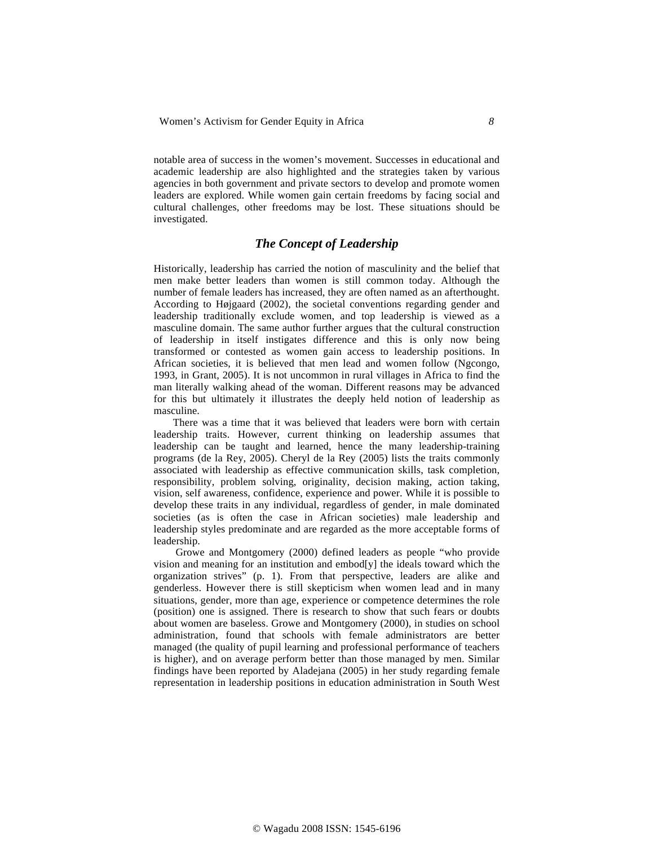notable area of success in the women's movement. Successes in educational and academic leadership are also highlighted and the strategies taken by various agencies in both government and private sectors to develop and promote women leaders are explored. While women gain certain freedoms by facing social and cultural challenges, other freedoms may be lost. These situations should be investigated.

# *The Concept of Leadership*

Historically, leadership has carried the notion of masculinity and the belief that men make better leaders than women is still common today. Although the number of female leaders has increased, they are often named as an afterthought. According to Højgaard (2002), the societal conventions regarding gender and leadership traditionally exclude women, and top leadership is viewed as a masculine domain. The same author further argues that the cultural construction of leadership in itself instigates difference and this is only now being transformed or contested as women gain access to leadership positions. In African societies, it is believed that men lead and women follow (Ngcongo, 1993, in Grant, 2005). It is not uncommon in rural villages in Africa to find the man literally walking ahead of the woman. Different reasons may be advanced for this but ultimately it illustrates the deeply held notion of leadership as masculine.

There was a time that it was believed that leaders were born with certain leadership traits. However, current thinking on leadership assumes that leadership can be taught and learned, hence the many leadership-training programs (de la Rey, 2005). Cheryl de la Rey (2005) lists the traits commonly associated with leadership as effective communication skills, task completion, responsibility, problem solving, originality, decision making, action taking, vision, self awareness, confidence, experience and power. While it is possible to develop these traits in any individual, regardless of gender, in male dominated societies (as is often the case in African societies) male leadership and leadership styles predominate and are regarded as the more acceptable forms of leadership.

 Growe and Montgomery (2000) defined leaders as people "who provide vision and meaning for an institution and embod[y] the ideals toward which the organization strives" (p. 1). From that perspective, leaders are alike and genderless. However there is still skepticism when women lead and in many situations, gender, more than age, experience or competence determines the role (position) one is assigned. There is research to show that such fears or doubts about women are baseless. Growe and Montgomery (2000), in studies on school administration, found that schools with female administrators are better managed (the quality of pupil learning and professional performance of teachers is higher), and on average perform better than those managed by men. Similar findings have been reported by Aladejana (2005) in her study regarding female representation in leadership positions in education administration in South West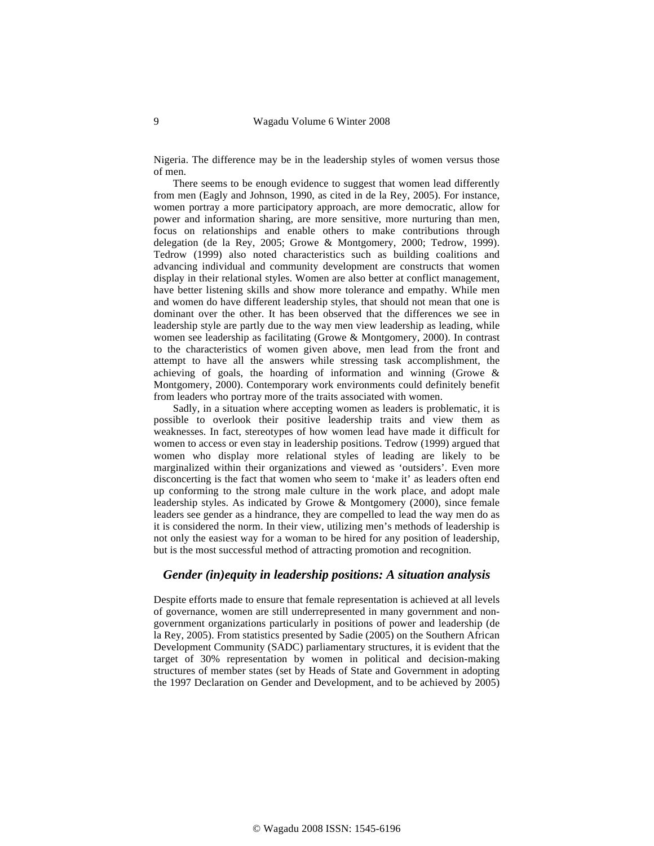Nigeria. The difference may be in the leadership styles of women versus those of men.

There seems to be enough evidence to suggest that women lead differently from men (Eagly and Johnson, 1990, as cited in de la Rey, 2005). For instance, women portray a more participatory approach, are more democratic, allow for power and information sharing, are more sensitive, more nurturing than men, focus on relationships and enable others to make contributions through delegation (de la Rey, 2005; Growe & Montgomery, 2000; Tedrow, 1999). Tedrow (1999) also noted characteristics such as building coalitions and advancing individual and community development are constructs that women display in their relational styles. Women are also better at conflict management, have better listening skills and show more tolerance and empathy. While men and women do have different leadership styles, that should not mean that one is dominant over the other. It has been observed that the differences we see in leadership style are partly due to the way men view leadership as leading, while women see leadership as facilitating (Growe & Montgomery, 2000). In contrast to the characteristics of women given above, men lead from the front and attempt to have all the answers while stressing task accomplishment, the achieving of goals, the hoarding of information and winning (Growe & Montgomery, 2000). Contemporary work environments could definitely benefit from leaders who portray more of the traits associated with women.

Sadly, in a situation where accepting women as leaders is problematic, it is possible to overlook their positive leadership traits and view them as weaknesses. In fact, stereotypes of how women lead have made it difficult for women to access or even stay in leadership positions. Tedrow (1999) argued that women who display more relational styles of leading are likely to be marginalized within their organizations and viewed as 'outsiders'. Even more disconcerting is the fact that women who seem to 'make it' as leaders often end up conforming to the strong male culture in the work place, and adopt male leadership styles. As indicated by Growe & Montgomery (2000), since female leaders see gender as a hindrance, they are compelled to lead the way men do as it is considered the norm. In their view, utilizing men's methods of leadership is not only the easiest way for a woman to be hired for any position of leadership, but is the most successful method of attracting promotion and recognition.

### *Gender (in)equity in leadership positions: A situation analysis*

Despite efforts made to ensure that female representation is achieved at all levels of governance, women are still underrepresented in many government and nongovernment organizations particularly in positions of power and leadership (de la Rey, 2005). From statistics presented by Sadie (2005) on the Southern African Development Community (SADC) parliamentary structures, it is evident that the target of 30% representation by women in political and decision-making structures of member states (set by Heads of State and Government in adopting the 1997 Declaration on Gender and Development, and to be achieved by 2005)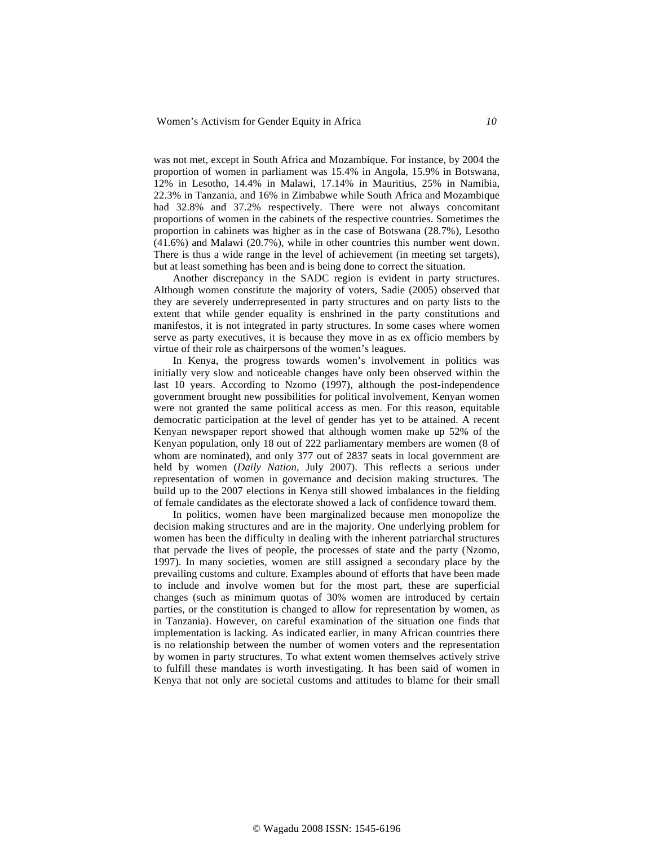was not met, except in South Africa and Mozambique. For instance, by 2004 the proportion of women in parliament was 15.4% in Angola, 15.9% in Botswana, 12% in Lesotho, 14.4% in Malawi, 17.14% in Mauritius, 25% in Namibia, 22.3% in Tanzania, and 16% in Zimbabwe while South Africa and Mozambique had 32.8% and 37.2% respectively. There were not always concomitant proportions of women in the cabinets of the respective countries. Sometimes the proportion in cabinets was higher as in the case of Botswana (28.7%), Lesotho (41.6%) and Malawi (20.7%), while in other countries this number went down. There is thus a wide range in the level of achievement (in meeting set targets), but at least something has been and is being done to correct the situation.

Another discrepancy in the SADC region is evident in party structures. Although women constitute the majority of voters, Sadie (2005) observed that they are severely underrepresented in party structures and on party lists to the extent that while gender equality is enshrined in the party constitutions and manifestos, it is not integrated in party structures. In some cases where women serve as party executives, it is because they move in as ex officio members by virtue of their role as chairpersons of the women's leagues.

In Kenya, the progress towards women's involvement in politics was initially very slow and noticeable changes have only been observed within the last 10 years. According to Nzomo (1997), although the post-independence government brought new possibilities for political involvement, Kenyan women were not granted the same political access as men. For this reason, equitable democratic participation at the level of gender has yet to be attained. A recent Kenyan newspaper report showed that although women make up 52% of the Kenyan population, only 18 out of 222 parliamentary members are women (8 of whom are nominated), and only 377 out of 2837 seats in local government are held by women (*Daily Nation*, July 2007). This reflects a serious under representation of women in governance and decision making structures. The build up to the 2007 elections in Kenya still showed imbalances in the fielding of female candidates as the electorate showed a lack of confidence toward them.

In politics, women have been marginalized because men monopolize the decision making structures and are in the majority. One underlying problem for women has been the difficulty in dealing with the inherent patriarchal structures that pervade the lives of people, the processes of state and the party (Nzomo, 1997). In many societies, women are still assigned a secondary place by the prevailing customs and culture. Examples abound of efforts that have been made to include and involve women but for the most part, these are superficial changes (such as minimum quotas of 30% women are introduced by certain parties, or the constitution is changed to allow for representation by women, as in Tanzania). However, on careful examination of the situation one finds that implementation is lacking. As indicated earlier, in many African countries there is no relationship between the number of women voters and the representation by women in party structures. To what extent women themselves actively strive to fulfill these mandates is worth investigating. It has been said of women in Kenya that not only are societal customs and attitudes to blame for their small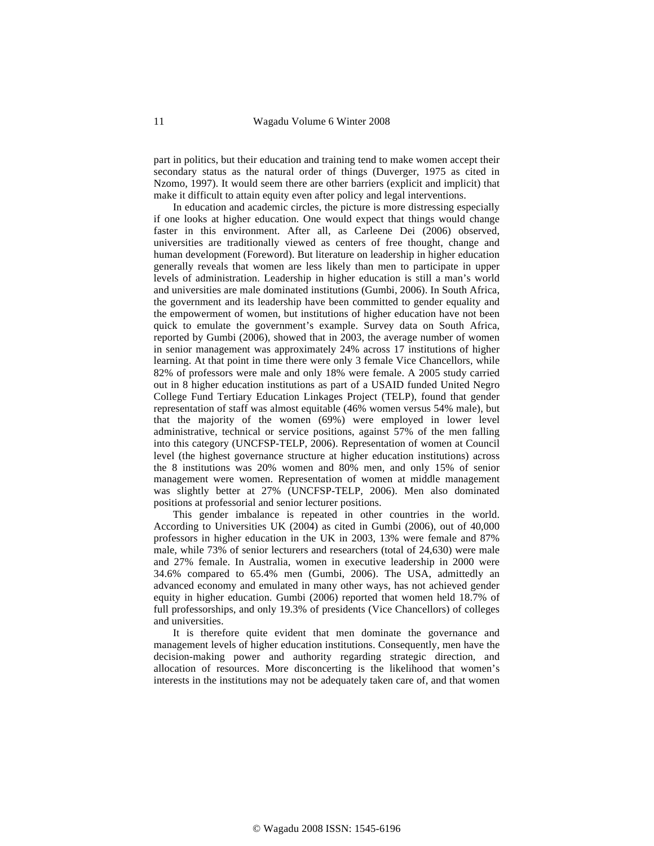part in politics, but their education and training tend to make women accept their secondary status as the natural order of things (Duverger, 1975 as cited in Nzomo, 1997). It would seem there are other barriers (explicit and implicit) that make it difficult to attain equity even after policy and legal interventions.

In education and academic circles, the picture is more distressing especially if one looks at higher education. One would expect that things would change faster in this environment. After all, as Carleene Dei (2006) observed, universities are traditionally viewed as centers of free thought, change and human development (Foreword). But literature on leadership in higher education generally reveals that women are less likely than men to participate in upper levels of administration. Leadership in higher education is still a man's world and universities are male dominated institutions (Gumbi, 2006). In South Africa, the government and its leadership have been committed to gender equality and the empowerment of women, but institutions of higher education have not been quick to emulate the government's example. Survey data on South Africa, reported by Gumbi (2006), showed that in 2003, the average number of women in senior management was approximately 24% across 17 institutions of higher learning. At that point in time there were only 3 female Vice Chancellors, while 82% of professors were male and only 18% were female. A 2005 study carried out in 8 higher education institutions as part of a USAID funded United Negro College Fund Tertiary Education Linkages Project (TELP), found that gender representation of staff was almost equitable (46% women versus 54% male), but that the majority of the women (69%) were employed in lower level administrative, technical or service positions, against 57% of the men falling into this category (UNCFSP-TELP, 2006). Representation of women at Council level (the highest governance structure at higher education institutions) across the 8 institutions was 20% women and 80% men, and only 15% of senior management were women. Representation of women at middle management was slightly better at 27% (UNCFSP-TELP, 2006). Men also dominated positions at professorial and senior lecturer positions.

This gender imbalance is repeated in other countries in the world. According to Universities UK (2004) as cited in Gumbi (2006), out of 40,000 professors in higher education in the UK in 2003, 13% were female and 87% male, while 73% of senior lecturers and researchers (total of 24,630) were male and 27% female. In Australia, women in executive leadership in 2000 were 34.6% compared to 65.4% men (Gumbi, 2006). The USA, admittedly an advanced economy and emulated in many other ways, has not achieved gender equity in higher education. Gumbi (2006) reported that women held 18.7% of full professorships, and only 19.3% of presidents (Vice Chancellors) of colleges and universities.

It is therefore quite evident that men dominate the governance and management levels of higher education institutions. Consequently, men have the decision-making power and authority regarding strategic direction, and allocation of resources. More disconcerting is the likelihood that women's interests in the institutions may not be adequately taken care of, and that women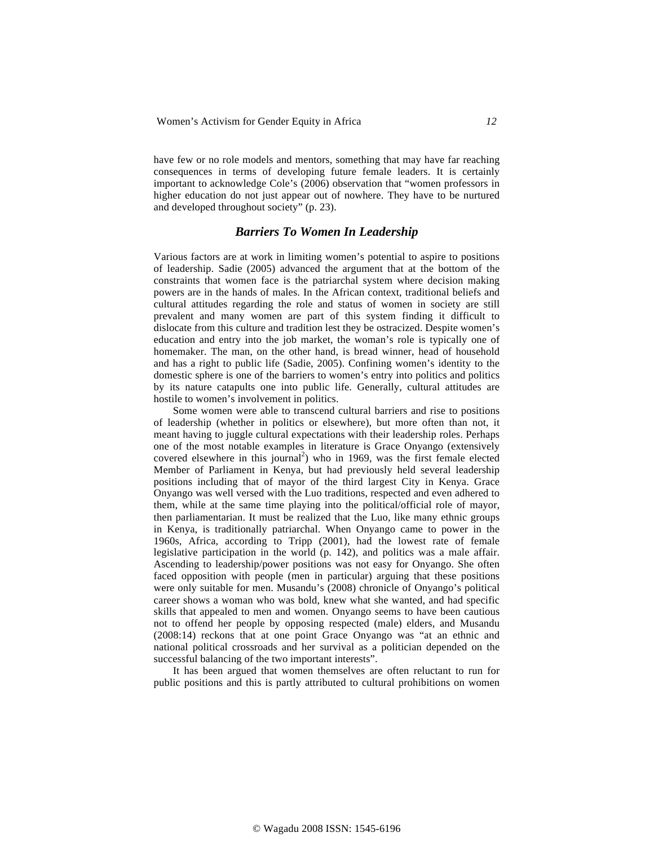have few or no role models and mentors, something that may have far reaching consequences in terms of developing future female leaders. It is certainly important to acknowledge Cole's (2006) observation that "women professors in higher education do not just appear out of nowhere. They have to be nurtured and developed throughout society" (p. 23).

# *Barriers To Women In Leadership*

Various factors are at work in limiting women's potential to aspire to positions of leadership. Sadie (2005) advanced the argument that at the bottom of the constraints that women face is the patriarchal system where decision making powers are in the hands of males. In the African context, traditional beliefs and cultural attitudes regarding the role and status of women in society are still prevalent and many women are part of this system finding it difficult to dislocate from this culture and tradition lest they be ostracized. Despite women's education and entry into the job market, the woman's role is typically one of homemaker. The man, on the other hand, is bread winner, head of household and has a right to public life (Sadie, 2005). Confining women's identity to the domestic sphere is one of the barriers to women's entry into politics and politics by its nature catapults one into public life. Generally, cultural attitudes are hostile to women's involvement in politics.

Some women were able to transcend cultural barriers and rise to positions of leadership (whether in politics or elsewhere), but more often than not, it meant having to juggle cultural expectations with their leadership roles. Perhaps one of the most notable examples in literature is Grace Onyango (extensively covered elsewhere in this journal<sup>2</sup>) who in 1969, was the first female elected Member of Parliament in Kenya, but had previously held several leadership positions including that of mayor of the third largest City in Kenya. Grace Onyango was well versed with the Luo traditions, respected and even adhered to them, while at the same time playing into the political/official role of mayor, then parliamentarian. It must be realized that the Luo, like many ethnic groups in Kenya, is traditionally patriarchal. When Onyango came to power in the 1960s, Africa, according to Tripp (2001), had the lowest rate of female legislative participation in the world (p. 142), and politics was a male affair. Ascending to leadership/power positions was not easy for Onyango. She often faced opposition with people (men in particular) arguing that these positions were only suitable for men. Musandu's (2008) chronicle of Onyango's political career shows a woman who was bold, knew what she wanted, and had specific skills that appealed to men and women. Onyango seems to have been cautious not to offend her people by opposing respected (male) elders, and Musandu (2008:14) reckons that at one point Grace Onyango was "at an ethnic and national political crossroads and her survival as a politician depended on the successful balancing of the two important interests".

It has been argued that women themselves are often reluctant to run for public positions and this is partly attributed to cultural prohibitions on women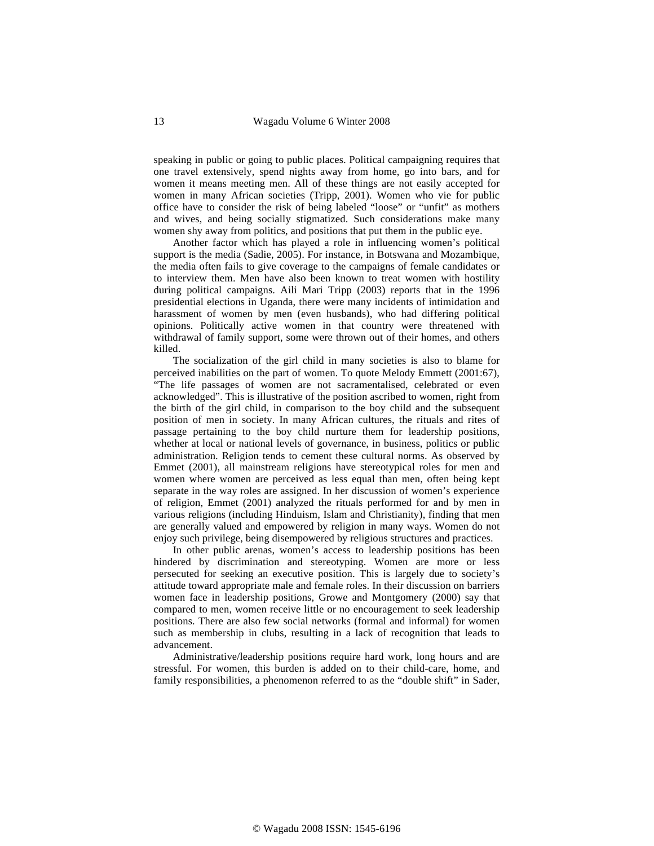speaking in public or going to public places. Political campaigning requires that one travel extensively, spend nights away from home, go into bars, and for women it means meeting men. All of these things are not easily accepted for women in many African societies (Tripp, 2001). Women who vie for public office have to consider the risk of being labeled "loose" or "unfit" as mothers and wives, and being socially stigmatized. Such considerations make many women shy away from politics, and positions that put them in the public eye.

Another factor which has played a role in influencing women's political support is the media (Sadie, 2005). For instance, in Botswana and Mozambique, the media often fails to give coverage to the campaigns of female candidates or to interview them. Men have also been known to treat women with hostility during political campaigns. Aili Mari Tripp (2003) reports that in the 1996 presidential elections in Uganda, there were many incidents of intimidation and harassment of women by men (even husbands), who had differing political opinions. Politically active women in that country were threatened with withdrawal of family support, some were thrown out of their homes, and others killed.

The socialization of the girl child in many societies is also to blame for perceived inabilities on the part of women. To quote Melody Emmett (2001:67), "The life passages of women are not sacramentalised, celebrated or even acknowledged". This is illustrative of the position ascribed to women, right from the birth of the girl child, in comparison to the boy child and the subsequent position of men in society. In many African cultures, the rituals and rites of passage pertaining to the boy child nurture them for leadership positions, whether at local or national levels of governance, in business, politics or public administration. Religion tends to cement these cultural norms. As observed by Emmet (2001), all mainstream religions have stereotypical roles for men and women where women are perceived as less equal than men, often being kept separate in the way roles are assigned. In her discussion of women's experience of religion, Emmet (2001) analyzed the rituals performed for and by men in various religions (including Hinduism, Islam and Christianity), finding that men are generally valued and empowered by religion in many ways. Women do not enjoy such privilege, being disempowered by religious structures and practices.

In other public arenas, women's access to leadership positions has been hindered by discrimination and stereotyping. Women are more or less persecuted for seeking an executive position. This is largely due to society's attitude toward appropriate male and female roles. In their discussion on barriers women face in leadership positions, Growe and Montgomery (2000) say that compared to men, women receive little or no encouragement to seek leadership positions. There are also few social networks (formal and informal) for women such as membership in clubs, resulting in a lack of recognition that leads to advancement.

Administrative/leadership positions require hard work, long hours and are stressful. For women, this burden is added on to their child-care, home, and family responsibilities, a phenomenon referred to as the "double shift" in Sader,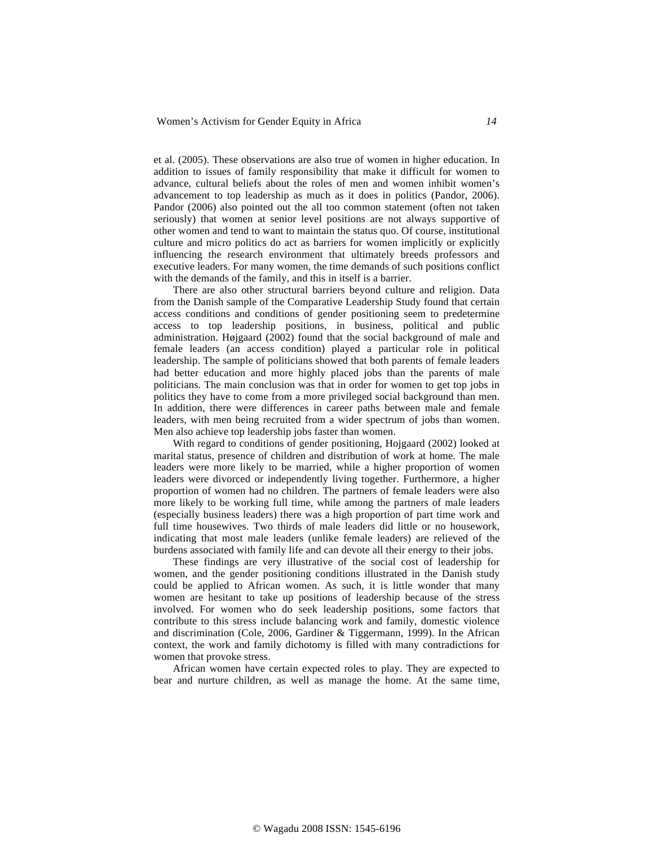et al. (2005). These observations are also true of women in higher education. In addition to issues of family responsibility that make it difficult for women to advance, cultural beliefs about the roles of men and women inhibit women's advancement to top leadership as much as it does in politics (Pandor, 2006). Pandor (2006) also pointed out the all too common statement (often not taken seriously) that women at senior level positions are not always supportive of other women and tend to want to maintain the status quo. Of course, institutional culture and micro politics do act as barriers for women implicitly or explicitly influencing the research environment that ultimately breeds professors and executive leaders. For many women, the time demands of such positions conflict with the demands of the family, and this in itself is a barrier.

There are also other structural barriers beyond culture and religion. Data from the Danish sample of the Comparative Leadership Study found that certain access conditions and conditions of gender positioning seem to predetermine access to top leadership positions, in business, political and public administration. Højgaard (2002) found that the social background of male and female leaders (an access condition) played a particular role in political leadership. The sample of politicians showed that both parents of female leaders had better education and more highly placed jobs than the parents of male politicians. The main conclusion was that in order for women to get top jobs in politics they have to come from a more privileged social background than men. In addition, there were differences in career paths between male and female leaders, with men being recruited from a wider spectrum of jobs than women. Men also achieve top leadership jobs faster than women.

With regard to conditions of gender positioning, Hojgaard (2002) looked at marital status, presence of children and distribution of work at home. The male leaders were more likely to be married, while a higher proportion of women leaders were divorced or independently living together. Furthermore, a higher proportion of women had no children. The partners of female leaders were also more likely to be working full time, while among the partners of male leaders (especially business leaders) there was a high proportion of part time work and full time housewives. Two thirds of male leaders did little or no housework, indicating that most male leaders (unlike female leaders) are relieved of the burdens associated with family life and can devote all their energy to their jobs.

These findings are very illustrative of the social cost of leadership for women, and the gender positioning conditions illustrated in the Danish study could be applied to African women. As such, it is little wonder that many women are hesitant to take up positions of leadership because of the stress involved. For women who do seek leadership positions, some factors that contribute to this stress include balancing work and family, domestic violence and discrimination (Cole, 2006, Gardiner & Tiggermann, 1999). In the African context, the work and family dichotomy is filled with many contradictions for women that provoke stress.

African women have certain expected roles to play. They are expected to bear and nurture children, as well as manage the home. At the same time,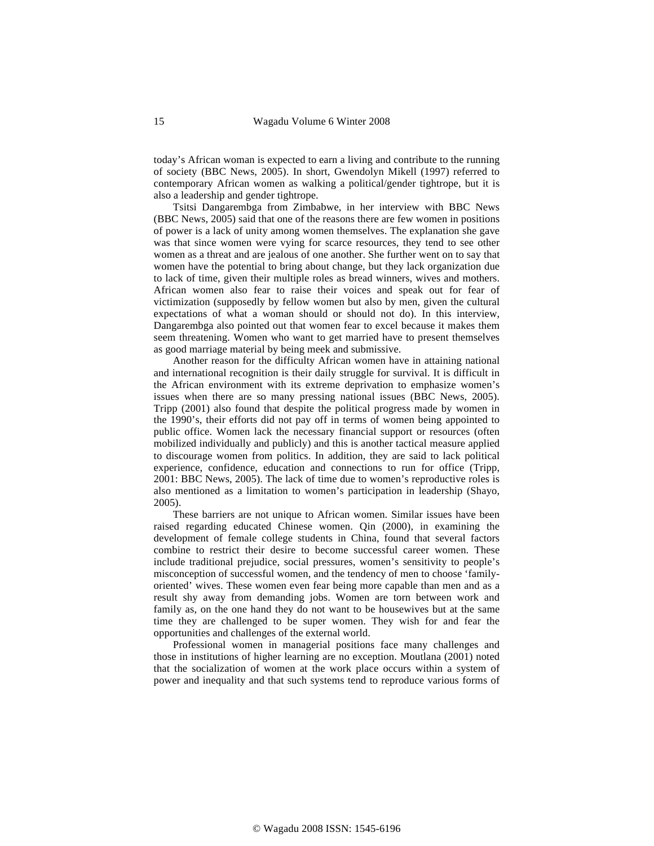today's African woman is expected to earn a living and contribute to the running of society (BBC News, 2005). In short, Gwendolyn Mikell (1997) referred to contemporary African women as walking a political/gender tightrope, but it is also a leadership and gender tightrope.

Tsitsi Dangarembga from Zimbabwe, in her interview with BBC News (BBC News, 2005) said that one of the reasons there are few women in positions of power is a lack of unity among women themselves. The explanation she gave was that since women were vying for scarce resources, they tend to see other women as a threat and are jealous of one another. She further went on to say that women have the potential to bring about change, but they lack organization due to lack of time, given their multiple roles as bread winners, wives and mothers. African women also fear to raise their voices and speak out for fear of victimization (supposedly by fellow women but also by men, given the cultural expectations of what a woman should or should not do). In this interview, Dangarembga also pointed out that women fear to excel because it makes them seem threatening. Women who want to get married have to present themselves as good marriage material by being meek and submissive.

Another reason for the difficulty African women have in attaining national and international recognition is their daily struggle for survival. It is difficult in the African environment with its extreme deprivation to emphasize women's issues when there are so many pressing national issues (BBC News, 2005). Tripp (2001) also found that despite the political progress made by women in the 1990's, their efforts did not pay off in terms of women being appointed to public office. Women lack the necessary financial support or resources (often mobilized individually and publicly) and this is another tactical measure applied to discourage women from politics. In addition, they are said to lack political experience, confidence, education and connections to run for office (Tripp, 2001: BBC News, 2005). The lack of time due to women's reproductive roles is also mentioned as a limitation to women's participation in leadership (Shayo, 2005).

These barriers are not unique to African women. Similar issues have been raised regarding educated Chinese women. Qin (2000), in examining the development of female college students in China, found that several factors combine to restrict their desire to become successful career women. These include traditional prejudice, social pressures, women's sensitivity to people's misconception of successful women, and the tendency of men to choose 'familyoriented' wives. These women even fear being more capable than men and as a result shy away from demanding jobs. Women are torn between work and family as, on the one hand they do not want to be housewives but at the same time they are challenged to be super women. They wish for and fear the opportunities and challenges of the external world.

Professional women in managerial positions face many challenges and those in institutions of higher learning are no exception. Moutlana (2001) noted that the socialization of women at the work place occurs within a system of power and inequality and that such systems tend to reproduce various forms of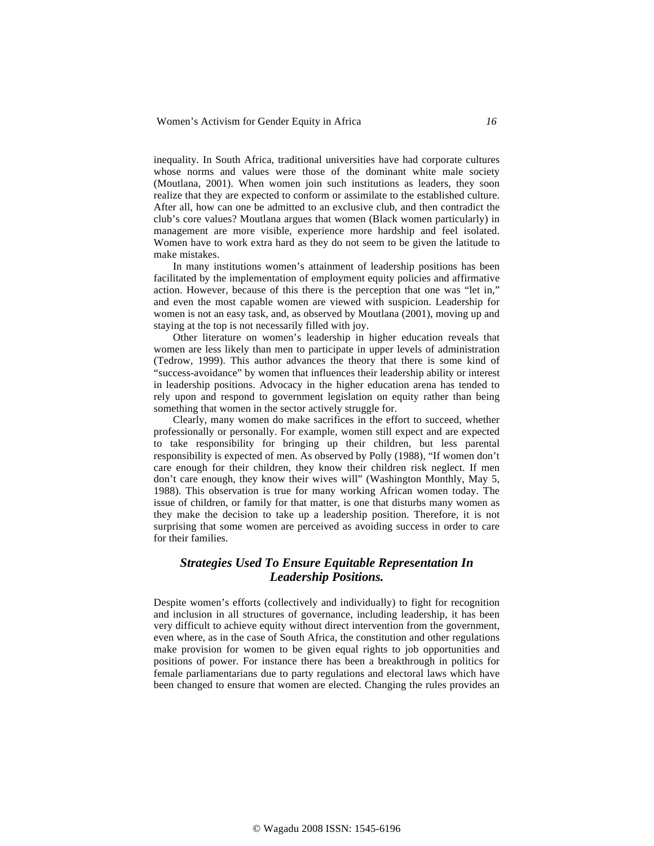inequality. In South Africa, traditional universities have had corporate cultures whose norms and values were those of the dominant white male society (Moutlana, 2001). When women join such institutions as leaders, they soon realize that they are expected to conform or assimilate to the established culture. After all, how can one be admitted to an exclusive club, and then contradict the club's core values? Moutlana argues that women (Black women particularly) in management are more visible, experience more hardship and feel isolated. Women have to work extra hard as they do not seem to be given the latitude to make mistakes.

In many institutions women's attainment of leadership positions has been facilitated by the implementation of employment equity policies and affirmative action. However, because of this there is the perception that one was "let in," and even the most capable women are viewed with suspicion. Leadership for women is not an easy task, and, as observed by Moutlana (2001), moving up and staying at the top is not necessarily filled with joy.

Other literature on women's leadership in higher education reveals that women are less likely than men to participate in upper levels of administration (Tedrow, 1999). This author advances the theory that there is some kind of "success-avoidance" by women that influences their leadership ability or interest in leadership positions. Advocacy in the higher education arena has tended to rely upon and respond to government legislation on equity rather than being something that women in the sector actively struggle for.

Clearly, many women do make sacrifices in the effort to succeed, whether professionally or personally. For example, women still expect and are expected to take responsibility for bringing up their children, but less parental responsibility is expected of men. As observed by Polly (1988), "If women don't care enough for their children, they know their children risk neglect. If men don't care enough, they know their wives will" (Washington Monthly, May 5, 1988). This observation is true for many working African women today. The issue of children, or family for that matter, is one that disturbs many women as they make the decision to take up a leadership position. Therefore, it is not surprising that some women are perceived as avoiding success in order to care for their families.

# *Strategies Used To Ensure Equitable Representation In Leadership Positions.*

Despite women's efforts (collectively and individually) to fight for recognition and inclusion in all structures of governance, including leadership, it has been very difficult to achieve equity without direct intervention from the government, even where, as in the case of South Africa, the constitution and other regulations make provision for women to be given equal rights to job opportunities and positions of power. For instance there has been a breakthrough in politics for female parliamentarians due to party regulations and electoral laws which have been changed to ensure that women are elected. Changing the rules provides an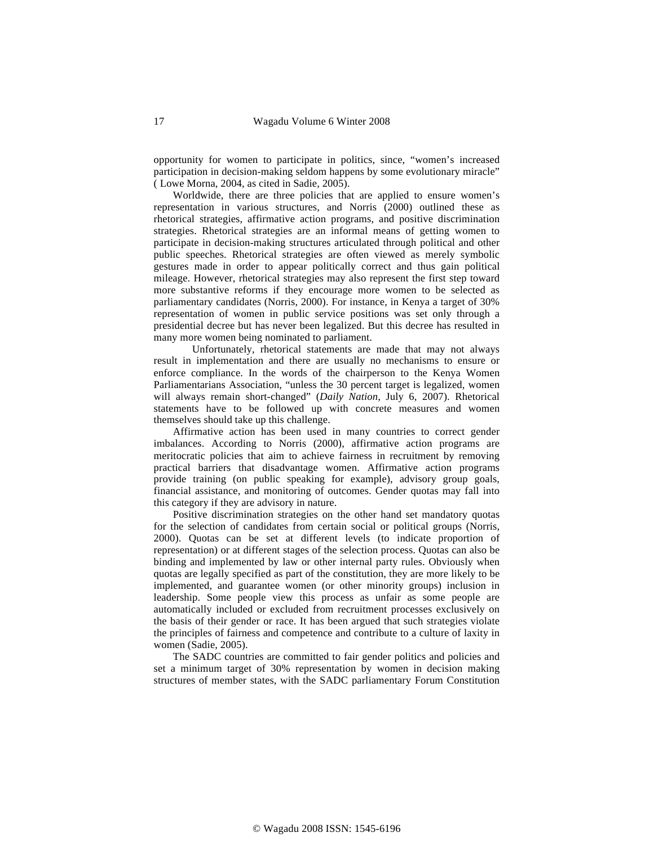opportunity for women to participate in politics, since, "women's increased participation in decision-making seldom happens by some evolutionary miracle" ( Lowe Morna, 2004, as cited in Sadie, 2005).

Worldwide, there are three policies that are applied to ensure women's representation in various structures, and Norris (2000) outlined these as rhetorical strategies, affirmative action programs, and positive discrimination strategies. Rhetorical strategies are an informal means of getting women to participate in decision-making structures articulated through political and other public speeches. Rhetorical strategies are often viewed as merely symbolic gestures made in order to appear politically correct and thus gain political mileage. However, rhetorical strategies may also represent the first step toward more substantive reforms if they encourage more women to be selected as parliamentary candidates (Norris, 2000). For instance, in Kenya a target of 30% representation of women in public service positions was set only through a presidential decree but has never been legalized. But this decree has resulted in many more women being nominated to parliament.

Unfortunately, rhetorical statements are made that may not always result in implementation and there are usually no mechanisms to ensure or enforce compliance. In the words of the chairperson to the Kenya Women Parliamentarians Association, "unless the 30 percent target is legalized, women will always remain short-changed" (*Daily Nation*, July 6, 2007). Rhetorical statements have to be followed up with concrete measures and women themselves should take up this challenge.

Affirmative action has been used in many countries to correct gender imbalances. According to Norris (2000), affirmative action programs are meritocratic policies that aim to achieve fairness in recruitment by removing practical barriers that disadvantage women. Affirmative action programs provide training (on public speaking for example), advisory group goals, financial assistance, and monitoring of outcomes. Gender quotas may fall into this category if they are advisory in nature.

Positive discrimination strategies on the other hand set mandatory quotas for the selection of candidates from certain social or political groups (Norris, 2000). Quotas can be set at different levels (to indicate proportion of representation) or at different stages of the selection process. Quotas can also be binding and implemented by law or other internal party rules. Obviously when quotas are legally specified as part of the constitution, they are more likely to be implemented, and guarantee women (or other minority groups) inclusion in leadership. Some people view this process as unfair as some people are automatically included or excluded from recruitment processes exclusively on the basis of their gender or race. It has been argued that such strategies violate the principles of fairness and competence and contribute to a culture of laxity in women (Sadie, 2005).

The SADC countries are committed to fair gender politics and policies and set a minimum target of 30% representation by women in decision making structures of member states, with the SADC parliamentary Forum Constitution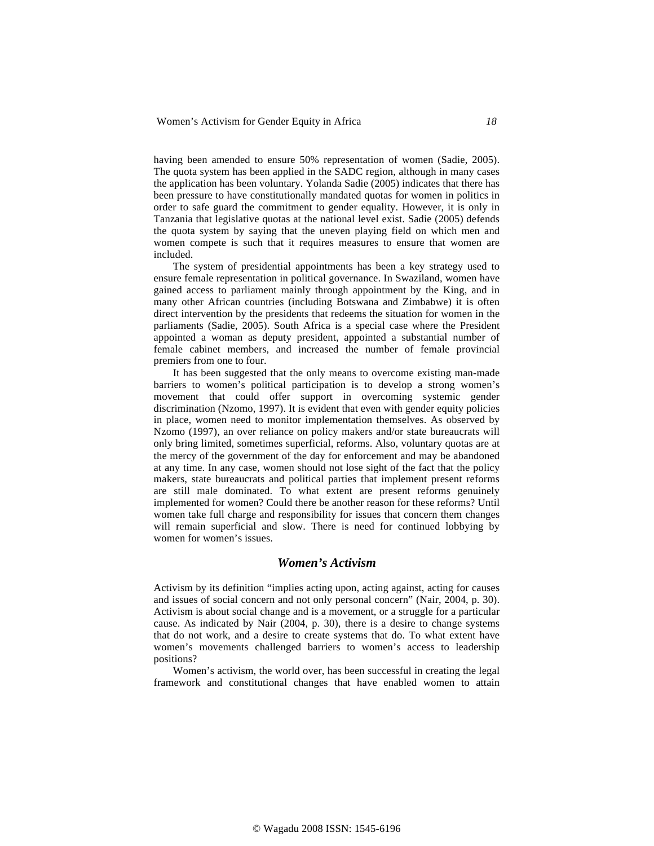having been amended to ensure 50% representation of women (Sadie, 2005). The quota system has been applied in the SADC region, although in many cases the application has been voluntary. Yolanda Sadie (2005) indicates that there has been pressure to have constitutionally mandated quotas for women in politics in order to safe guard the commitment to gender equality. However, it is only in Tanzania that legislative quotas at the national level exist. Sadie (2005) defends the quota system by saying that the uneven playing field on which men and women compete is such that it requires measures to ensure that women are included.

The system of presidential appointments has been a key strategy used to ensure female representation in political governance. In Swaziland, women have gained access to parliament mainly through appointment by the King, and in many other African countries (including Botswana and Zimbabwe) it is often direct intervention by the presidents that redeems the situation for women in the parliaments (Sadie, 2005). South Africa is a special case where the President appointed a woman as deputy president, appointed a substantial number of female cabinet members, and increased the number of female provincial premiers from one to four.

It has been suggested that the only means to overcome existing man-made barriers to women's political participation is to develop a strong women's movement that could offer support in overcoming systemic gender discrimination (Nzomo, 1997). It is evident that even with gender equity policies in place, women need to monitor implementation themselves. As observed by Nzomo (1997), an over reliance on policy makers and/or state bureaucrats will only bring limited, sometimes superficial, reforms. Also, voluntary quotas are at the mercy of the government of the day for enforcement and may be abandoned at any time. In any case, women should not lose sight of the fact that the policy makers, state bureaucrats and political parties that implement present reforms are still male dominated. To what extent are present reforms genuinely implemented for women? Could there be another reason for these reforms? Until women take full charge and responsibility for issues that concern them changes will remain superficial and slow. There is need for continued lobbying by women for women's issues.

### *Women's Activism*

Activism by its definition "implies acting upon, acting against, acting for causes and issues of social concern and not only personal concern" (Nair, 2004, p. 30). Activism is about social change and is a movement, or a struggle for a particular cause. As indicated by Nair (2004, p. 30), there is a desire to change systems that do not work, and a desire to create systems that do. To what extent have women's movements challenged barriers to women's access to leadership positions?

Women's activism, the world over, has been successful in creating the legal framework and constitutional changes that have enabled women to attain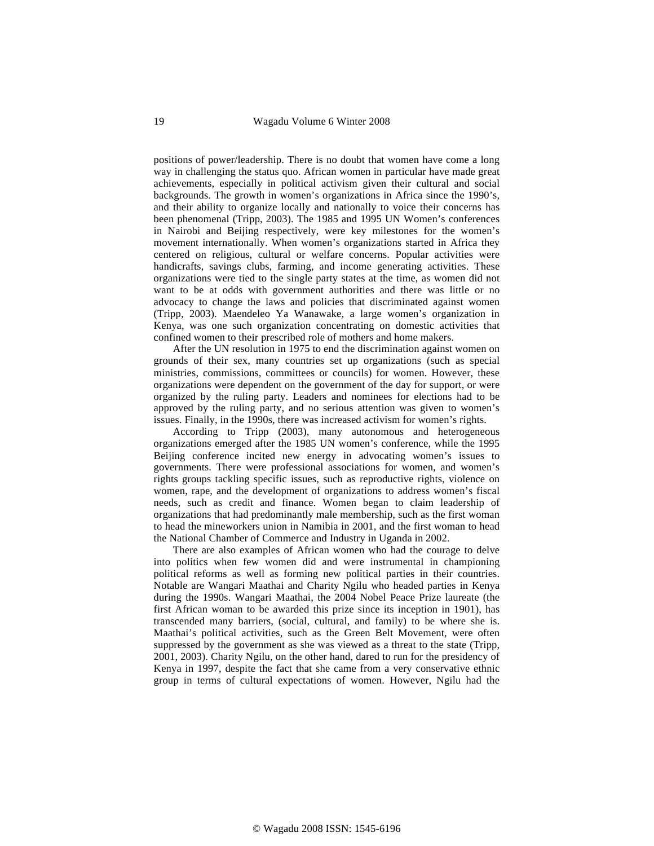positions of power/leadership. There is no doubt that women have come a long way in challenging the status quo. African women in particular have made great achievements, especially in political activism given their cultural and social backgrounds. The growth in women's organizations in Africa since the 1990's, and their ability to organize locally and nationally to voice their concerns has been phenomenal (Tripp, 2003). The 1985 and 1995 UN Women's conferences in Nairobi and Beijing respectively, were key milestones for the women's movement internationally. When women's organizations started in Africa they centered on religious, cultural or welfare concerns. Popular activities were handicrafts, savings clubs, farming, and income generating activities. These organizations were tied to the single party states at the time, as women did not want to be at odds with government authorities and there was little or no advocacy to change the laws and policies that discriminated against women (Tripp, 2003). Maendeleo Ya Wanawake, a large women's organization in Kenya, was one such organization concentrating on domestic activities that confined women to their prescribed role of mothers and home makers.

After the UN resolution in 1975 to end the discrimination against women on grounds of their sex, many countries set up organizations (such as special ministries, commissions, committees or councils) for women. However, these organizations were dependent on the government of the day for support, or were organized by the ruling party. Leaders and nominees for elections had to be approved by the ruling party, and no serious attention was given to women's issues. Finally, in the 1990s, there was increased activism for women's rights.

According to Tripp (2003), many autonomous and heterogeneous organizations emerged after the 1985 UN women's conference, while the 1995 Beijing conference incited new energy in advocating women's issues to governments. There were professional associations for women, and women's rights groups tackling specific issues, such as reproductive rights, violence on women, rape, and the development of organizations to address women's fiscal needs, such as credit and finance. Women began to claim leadership of organizations that had predominantly male membership, such as the first woman to head the mineworkers union in Namibia in 2001, and the first woman to head the National Chamber of Commerce and Industry in Uganda in 2002.

There are also examples of African women who had the courage to delve into politics when few women did and were instrumental in championing political reforms as well as forming new political parties in their countries. Notable are Wangari Maathai and Charity Ngilu who headed parties in Kenya during the 1990s. Wangari Maathai, the 2004 Nobel Peace Prize laureate (the first African woman to be awarded this prize since its inception in 1901), has transcended many barriers, (social, cultural, and family) to be where she is. Maathai's political activities, such as the Green Belt Movement, were often suppressed by the government as she was viewed as a threat to the state (Tripp, 2001, 2003). Charity Ngilu, on the other hand, dared to run for the presidency of Kenya in 1997, despite the fact that she came from a very conservative ethnic group in terms of cultural expectations of women. However, Ngilu had the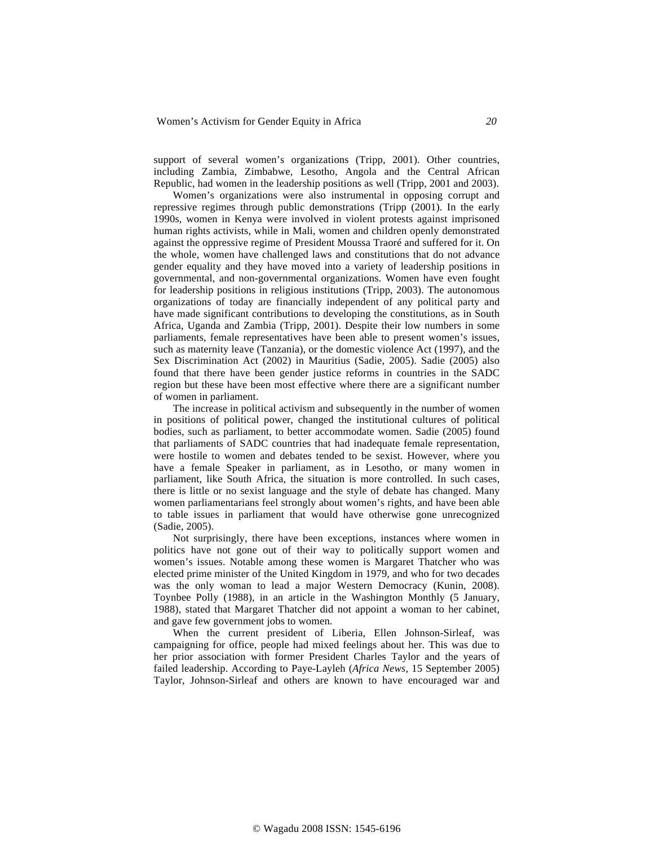support of several women's organizations (Tripp, 2001). Other countries, including Zambia, Zimbabwe, Lesotho, Angola and the Central African Republic, had women in the leadership positions as well (Tripp, 2001 and 2003).

Women's organizations were also instrumental in opposing corrupt and repressive regimes through public demonstrations (Tripp (2001). In the early 1990s, women in Kenya were involved in violent protests against imprisoned human rights activists, while in Mali, women and children openly demonstrated against the oppressive regime of President Moussa Traoré and suffered for it. On the whole, women have challenged laws and constitutions that do not advance gender equality and they have moved into a variety of leadership positions in governmental, and non-governmental organizations. Women have even fought for leadership positions in religious institutions (Tripp, 2003). The autonomous organizations of today are financially independent of any political party and have made significant contributions to developing the constitutions, as in South Africa, Uganda and Zambia (Tripp, 2001). Despite their low numbers in some parliaments, female representatives have been able to present women's issues, such as maternity leave (Tanzania), or the domestic violence Act (1997), and the Sex Discrimination Act (2002) in Mauritius (Sadie, 2005). Sadie (2005) also found that there have been gender justice reforms in countries in the SADC region but these have been most effective where there are a significant number of women in parliament.

The increase in political activism and subsequently in the number of women in positions of political power, changed the institutional cultures of political bodies, such as parliament, to better accommodate women. Sadie (2005) found that parliaments of SADC countries that had inadequate female representation, were hostile to women and debates tended to be sexist. However, where you have a female Speaker in parliament, as in Lesotho, or many women in parliament, like South Africa, the situation is more controlled. In such cases, there is little or no sexist language and the style of debate has changed. Many women parliamentarians feel strongly about women's rights, and have been able to table issues in parliament that would have otherwise gone unrecognized (Sadie, 2005).

Not surprisingly, there have been exceptions, instances where women in politics have not gone out of their way to politically support women and women's issues. Notable among these women is Margaret Thatcher who was elected prime minister of the United Kingdom in 1979, and who for two decades was the only woman to lead a major Western Democracy (Kunin, 2008). Toynbee Polly (1988), in an article in the Washington Monthly (5 January, 1988), stated that Margaret Thatcher did not appoint a woman to her cabinet, and gave few government jobs to women.

When the current president of Liberia, Ellen Johnson-Sirleaf, was campaigning for office, people had mixed feelings about her. This was due to her prior association with former President Charles Taylor and the years of failed leadership. According to Paye-Layleh (*Africa News*, 15 September 2005) Taylor, Johnson-Sirleaf and others are known to have encouraged war and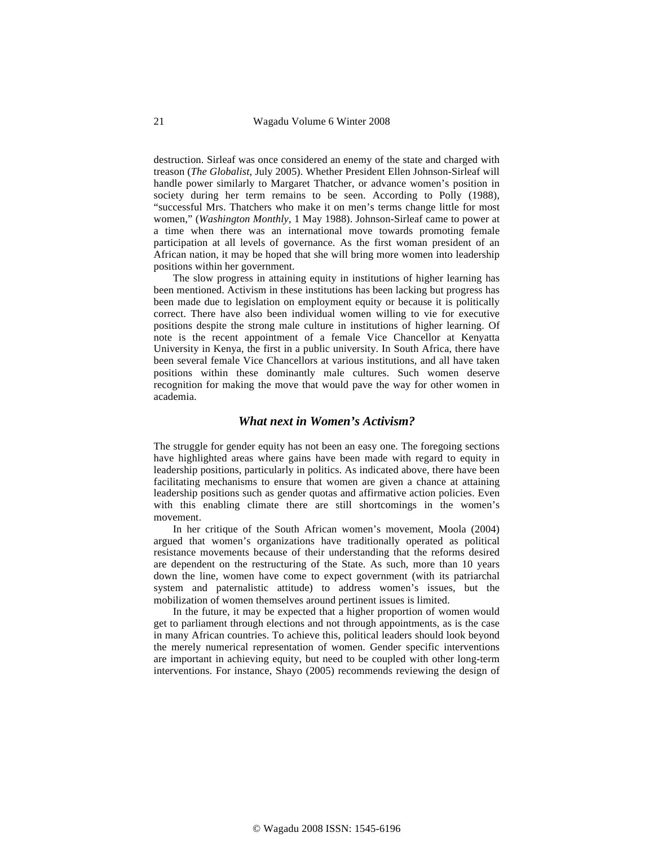destruction. Sirleaf was once considered an enemy of the state and charged with treason (*The Globalist*, July 2005). Whether President Ellen Johnson-Sirleaf will handle power similarly to Margaret Thatcher, or advance women's position in society during her term remains to be seen. According to Polly (1988), "successful Mrs. Thatchers who make it on men's terms change little for most women," (*Washington Monthly*, 1 May 1988). Johnson-Sirleaf came to power at a time when there was an international move towards promoting female participation at all levels of governance. As the first woman president of an African nation, it may be hoped that she will bring more women into leadership positions within her government.

The slow progress in attaining equity in institutions of higher learning has been mentioned. Activism in these institutions has been lacking but progress has been made due to legislation on employment equity or because it is politically correct. There have also been individual women willing to vie for executive positions despite the strong male culture in institutions of higher learning. Of note is the recent appointment of a female Vice Chancellor at Kenyatta University in Kenya, the first in a public university. In South Africa, there have been several female Vice Chancellors at various institutions, and all have taken positions within these dominantly male cultures. Such women deserve recognition for making the move that would pave the way for other women in academia.

#### *What next in Women's Activism?*

The struggle for gender equity has not been an easy one. The foregoing sections have highlighted areas where gains have been made with regard to equity in leadership positions, particularly in politics. As indicated above, there have been facilitating mechanisms to ensure that women are given a chance at attaining leadership positions such as gender quotas and affirmative action policies. Even with this enabling climate there are still shortcomings in the women's movement.

In her critique of the South African women's movement, Moola (2004) argued that women's organizations have traditionally operated as political resistance movements because of their understanding that the reforms desired are dependent on the restructuring of the State. As such, more than 10 years down the line, women have come to expect government (with its patriarchal system and paternalistic attitude) to address women's issues, but the mobilization of women themselves around pertinent issues is limited.

In the future, it may be expected that a higher proportion of women would get to parliament through elections and not through appointments, as is the case in many African countries. To achieve this, political leaders should look beyond the merely numerical representation of women. Gender specific interventions are important in achieving equity, but need to be coupled with other long-term interventions. For instance, Shayo (2005) recommends reviewing the design of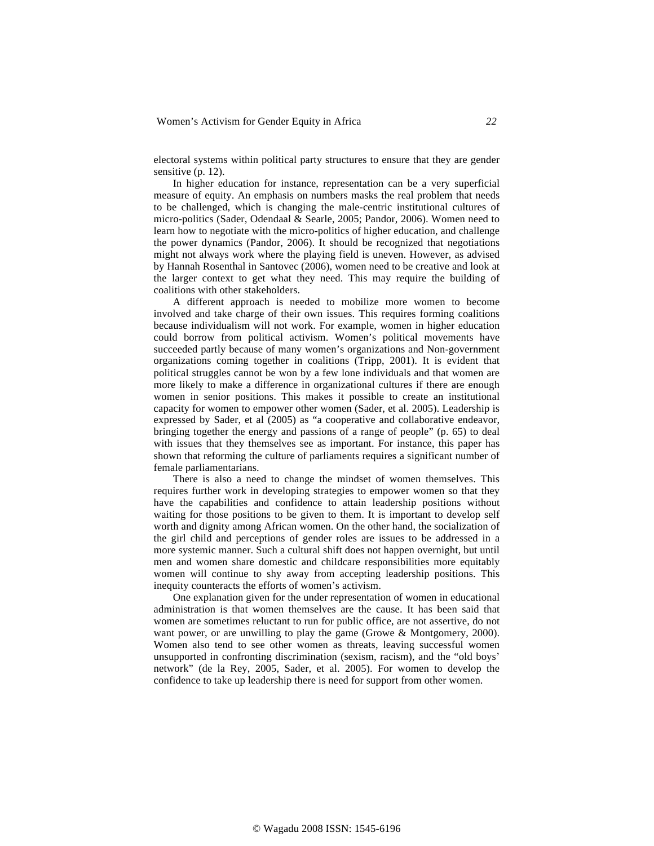electoral systems within political party structures to ensure that they are gender sensitive (p. 12).

In higher education for instance, representation can be a very superficial measure of equity. An emphasis on numbers masks the real problem that needs to be challenged, which is changing the male-centric institutional cultures of micro-politics (Sader, Odendaal & Searle, 2005; Pandor, 2006). Women need to learn how to negotiate with the micro-politics of higher education, and challenge the power dynamics (Pandor, 2006). It should be recognized that negotiations might not always work where the playing field is uneven. However, as advised by Hannah Rosenthal in Santovec (2006), women need to be creative and look at the larger context to get what they need. This may require the building of coalitions with other stakeholders.

A different approach is needed to mobilize more women to become involved and take charge of their own issues. This requires forming coalitions because individualism will not work. For example, women in higher education could borrow from political activism. Women's political movements have succeeded partly because of many women's organizations and Non-government organizations coming together in coalitions (Tripp, 2001). It is evident that political struggles cannot be won by a few lone individuals and that women are more likely to make a difference in organizational cultures if there are enough women in senior positions. This makes it possible to create an institutional capacity for women to empower other women (Sader, et al. 2005). Leadership is expressed by Sader, et al (2005) as "a cooperative and collaborative endeavor, bringing together the energy and passions of a range of people" (p. 65) to deal with issues that they themselves see as important. For instance, this paper has shown that reforming the culture of parliaments requires a significant number of female parliamentarians.

There is also a need to change the mindset of women themselves. This requires further work in developing strategies to empower women so that they have the capabilities and confidence to attain leadership positions without waiting for those positions to be given to them. It is important to develop self worth and dignity among African women. On the other hand, the socialization of the girl child and perceptions of gender roles are issues to be addressed in a more systemic manner. Such a cultural shift does not happen overnight, but until men and women share domestic and childcare responsibilities more equitably women will continue to shy away from accepting leadership positions. This inequity counteracts the efforts of women's activism.

One explanation given for the under representation of women in educational administration is that women themselves are the cause. It has been said that women are sometimes reluctant to run for public office, are not assertive, do not want power, or are unwilling to play the game (Growe & Montgomery, 2000). Women also tend to see other women as threats, leaving successful women unsupported in confronting discrimination (sexism, racism), and the "old boys' network" (de la Rey, 2005, Sader, et al. 2005). For women to develop the confidence to take up leadership there is need for support from other women.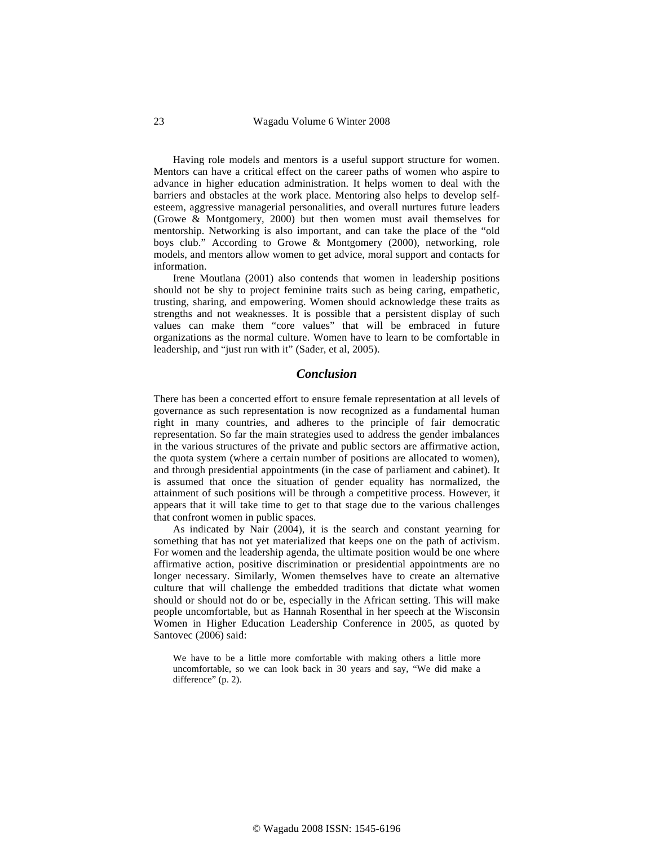Having role models and mentors is a useful support structure for women. Mentors can have a critical effect on the career paths of women who aspire to advance in higher education administration. It helps women to deal with the barriers and obstacles at the work place. Mentoring also helps to develop selfesteem, aggressive managerial personalities, and overall nurtures future leaders (Growe & Montgomery, 2000) but then women must avail themselves for mentorship. Networking is also important, and can take the place of the "old boys club." According to Growe & Montgomery (2000), networking, role models, and mentors allow women to get advice, moral support and contacts for information.

Irene Moutlana (2001) also contends that women in leadership positions should not be shy to project feminine traits such as being caring, empathetic, trusting, sharing, and empowering. Women should acknowledge these traits as strengths and not weaknesses. It is possible that a persistent display of such values can make them "core values" that will be embraced in future organizations as the normal culture. Women have to learn to be comfortable in leadership, and "just run with it" (Sader, et al, 2005).

#### *Conclusion*

There has been a concerted effort to ensure female representation at all levels of governance as such representation is now recognized as a fundamental human right in many countries, and adheres to the principle of fair democratic representation. So far the main strategies used to address the gender imbalances in the various structures of the private and public sectors are affirmative action, the quota system (where a certain number of positions are allocated to women), and through presidential appointments (in the case of parliament and cabinet). It is assumed that once the situation of gender equality has normalized, the attainment of such positions will be through a competitive process. However, it appears that it will take time to get to that stage due to the various challenges that confront women in public spaces.

As indicated by Nair (2004), it is the search and constant yearning for something that has not yet materialized that keeps one on the path of activism. For women and the leadership agenda, the ultimate position would be one where affirmative action, positive discrimination or presidential appointments are no longer necessary. Similarly, Women themselves have to create an alternative culture that will challenge the embedded traditions that dictate what women should or should not do or be, especially in the African setting. This will make people uncomfortable, but as Hannah Rosenthal in her speech at the Wisconsin Women in Higher Education Leadership Conference in 2005, as quoted by Santovec (2006) said:

We have to be a little more comfortable with making others a little more uncomfortable, so we can look back in 30 years and say, "We did make a difference" (p. 2).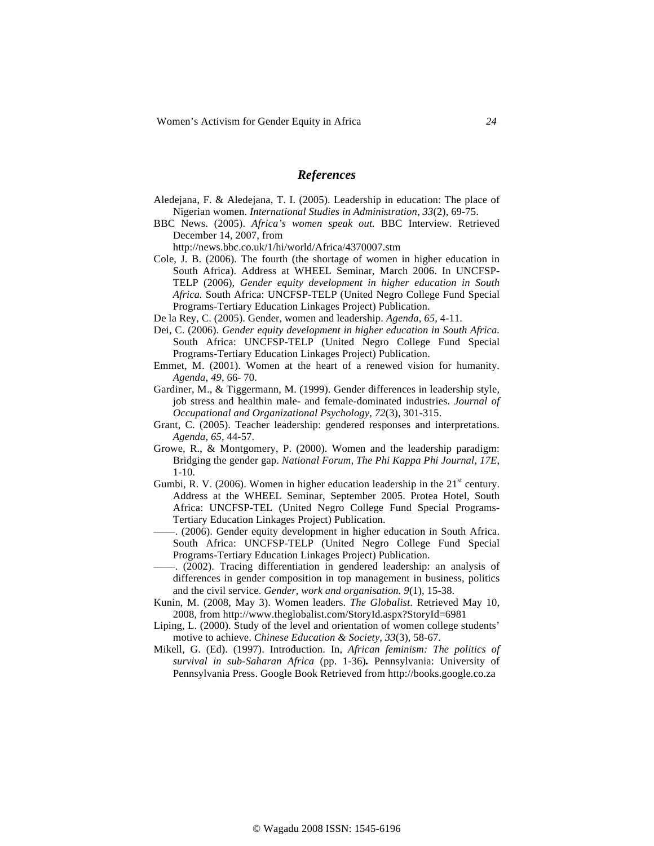## *References*

- Aledejana, F. & Aledejana, T. I. (2005). Leadership in education: The place of Nigerian women. *International Studies in Administration*, *33*(2), 69-75.
- BBC News. (2005). *Africa's women speak out.* BBC Interview. Retrieved December 14, 2007, from

http://news.bbc.co.uk/1/hi/world/Africa/4370007.stm

- Cole, J. B. (2006). The fourth (the shortage of women in higher education in South Africa). Address at WHEEL Seminar, March 2006. In UNCFSP-TELP (2006), *Gender equity development in higher education in South Africa.* South Africa: UNCFSP-TELP (United Negro College Fund Special Programs-Tertiary Education Linkages Project) Publication.
- De la Rey, C. (2005). Gender, women and leadership. *Agenda*, *65*, 4-11.
- Dei, C. (2006). *Gender equity development in higher education in South Africa.* South Africa: UNCFSP-TELP (United Negro College Fund Special Programs-Tertiary Education Linkages Project) Publication.
- Emmet, M. (2001). Women at the heart of a renewed vision for humanity. *Agenda, 49*, 66- 70.
- Gardiner, M., & Tiggermann, M. (1999). Gender differences in leadership style, job stress and healthin male- and female-dominated industries. *Journal of Occupational and Organizational Psychology, 72*(3), 301-315.
- Grant, C. (2005). Teacher leadership: gendered responses and interpretations. *Agenda, 65*, 44-57.
- Growe, R., & Montgomery, P. (2000). Women and the leadership paradigm: Bridging the gender gap. *National Forum, The Phi Kappa Phi Journal*, *17E*, 1-10.
- Gumbi, R. V. (2006). Women in higher education leadership in the  $21<sup>st</sup>$  century. Address at the WHEEL Seminar, September 2005. Protea Hotel, South Africa: UNCFSP-TEL (United Negro College Fund Special Programs-Tertiary Education Linkages Project) Publication.
- ––––. (2006). Gender equity development in higher education in South Africa. South Africa: UNCFSP-TELP (United Negro College Fund Special Programs-Tertiary Education Linkages Project) Publication.
- ––––. (2002). Tracing differentiation in gendered leadership: an analysis of differences in gender composition in top management in business, politics and the civil service. *Gender, work and organisation. 9*(1), 15-38.
- Kunin, M. (2008, May 3). Women leaders. *The Globalist*. Retrieved May 10, 2008, from http://www.theglobalist.com/StoryId.aspx?StoryId=6981
- Liping, L. (2000). Study of the level and orientation of women college students' motive to achieve. *Chinese Education & Society, 33*(3), 58-67.
- Mikell, G. (Ed). (1997). Introduction. In, *African feminism: The politics of survival in sub-Saharan Africa* (pp. 1-36)*.* Pennsylvania: University of Pennsylvania Press. Google Book Retrieved from http://books.google.co.za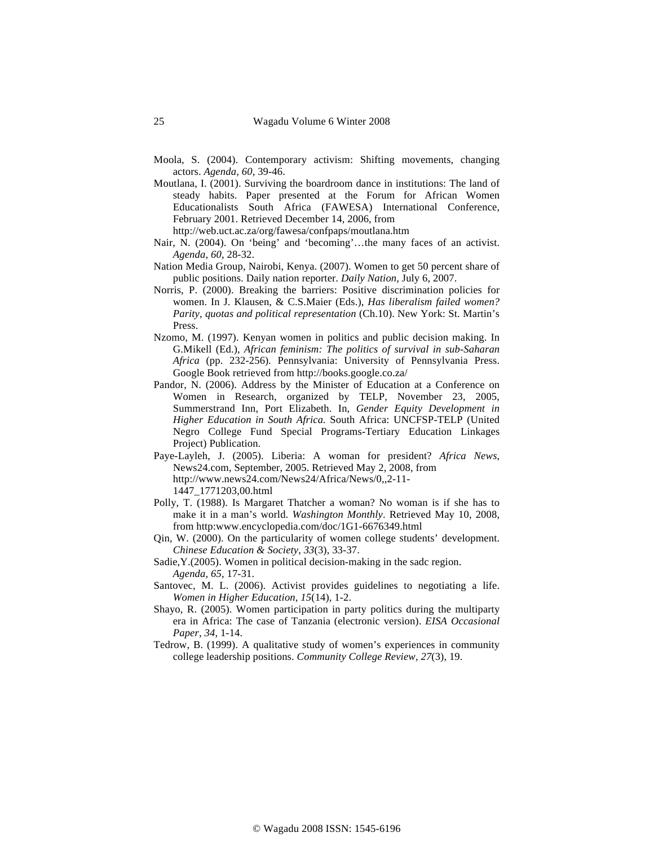- Moola, S. (2004). Contemporary activism: Shifting movements, changing actors. *Agenda, 60*, 39-46.
- Moutlana, I. (2001). Surviving the boardroom dance in institutions: The land of steady habits. Paper presented at the Forum for African Women Educationalists South Africa (FAWESA) International Conference, February 2001. Retrieved December 14, 2006, from

http://web.uct.ac.za/org/fawesa/confpaps/moutlana.htm

- Nair, N. (2004). On 'being' and 'becoming'…the many faces of an activist. *Agenda, 60*, 28-32.
- Nation Media Group, Nairobi, Kenya. (2007). Women to get 50 percent share of public positions. Daily nation reporter. *Daily Nation,* July 6, 2007.
- Norris, P. (2000). Breaking the barriers: Positive discrimination policies for women. In J. Klausen, & C.S.Maier (Eds.), *Has liberalism failed women? Parity, quotas and political representation* (Ch.10). New York: St. Martin's Press.
- Nzomo, M. (1997). Kenyan women in politics and public decision making. In G.Mikell (Ed.), *African feminism: The politics of survival in sub-Saharan Africa* (pp. 232-256)*.* Pennsylvania: University of Pennsylvania Press. Google Book retrieved from http://books.google.co.za/
- Pandor, N. (2006). Address by the Minister of Education at a Conference on Women in Research, organized by TELP, November 23, 2005, Summerstrand Inn, Port Elizabeth. In, *Gender Equity Development in Higher Education in South Africa.* South Africa: UNCFSP-TELP (United Negro College Fund Special Programs-Tertiary Education Linkages Project) Publication.
- Paye-Layleh, J. (2005). Liberia: A woman for president? *Africa News*, News24.com, September, 2005. Retrieved May 2, 2008, from http://www.news24.com/News24/Africa/News/0,,2-11-

1447\_1771203,00.html

- Polly, T. (1988). Is Margaret Thatcher a woman? No woman is if she has to make it in a man's world. *Washington Monthly*. Retrieved May 10, 2008, from http:www.encyclopedia.com/doc/1G1-6676349.html
- Qin, W. (2000). On the particularity of women college students' development. *Chinese Education & Society*, *33*(3), 33-37.

Sadie,Y.(2005). Women in political decision-making in the sadc region. *Agenda, 65*, 17-31.

- Santovec, M. L. (2006). Activist provides guidelines to negotiating a life. *Women in Higher Education, 15*(14), 1-2.
- Shayo, R. (2005). Women participation in party politics during the multiparty era in Africa: The case of Tanzania (electronic version). *EISA Occasional Paper, 34*, 1-14.
- Tedrow, B. (1999). A qualitative study of women's experiences in community college leadership positions. *Community College Review, 27*(3), 19.